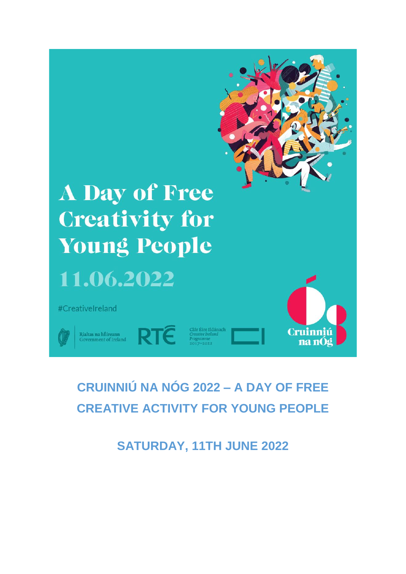

# **CRUINNIÚ NA NÓG 2022 – A DAY OF FREE CREATIVE ACTIVITY FOR YOUNG PEOPLE**

**SATURDAY, 11TH JUNE 2022**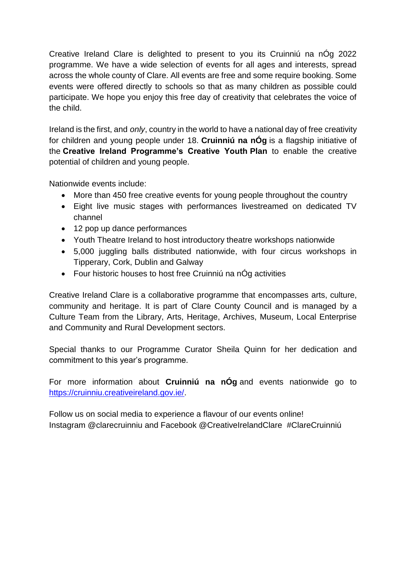Creative Ireland Clare is delighted to present to you its Cruinniú na nÓg 2022 programme. We have a wide selection of events for all ages and interests, spread across the whole county of Clare. All events are free and some require booking. Some events were offered directly to schools so that as many children as possible could participate. We hope you enjoy this free day of creativity that celebrates the voice of the child.

Ireland is the first, and *only*, country in the world to have a national day of free creativity for children and young people under 18. **Cruinniú na nÓg** is a flagship initiative of the **Creative Ireland Programme's Creative Youth Plan** to enable the creative potential of children and young people.

Nationwide events include:

- More than 450 free creative events for young people throughout the country
- Eight live music stages with performances livestreamed on dedicated TV channel
- 12 pop up dance performances
- Youth Theatre Ireland to host introductory theatre workshops nationwide
- 5,000 juggling balls distributed nationwide, with four circus workshops in Tipperary, Cork, Dublin and Galway
- Four historic houses to host free Cruinniú na nÓg activities

Creative Ireland Clare is a collaborative programme that encompasses arts, culture, community and heritage. It is part of Clare County Council and is managed by a Culture Team from the Library, Arts, Heritage, Archives, Museum, Local Enterprise and Community and Rural Development sectors.

Special thanks to our Programme Curator Sheila Quinn for her dedication and commitment to this year's programme.

For more information about **Cruinniú na nÓg** and events nationwide go to [https://cruinniu.creativeireland.gov.ie/.](https://cruinniu.creativeireland.gov.ie/)

Follow us on social media to experience a flavour of our events online! Instagram @clarecruinniu and Facebook @CreativeIrelandClare #ClareCruinniú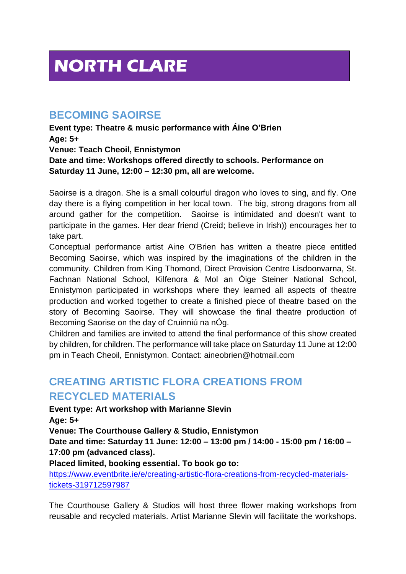# **NORTH CLARE**

## **BECOMING SAOIRSE**

**Event type: Theatre & music performance with Áine O'Brien Age: 5+ Venue: Teach Cheoil, Ennistymon Date and time: Workshops offered directly to schools. Performance on Saturday 11 June, 12:00 – 12:30 pm, all are welcome.** 

Saoirse is a dragon. She is a small colourful dragon who loves to sing, and fly. One day there is a flying competition in her local town. The big, strong dragons from all around gather for the competition. Saoirse is intimidated and doesn't want to participate in the games. Her dear friend (Creid; believe in Irish)) encourages her to take part.

Conceptual performance artist Aine O'Brien has written a theatre piece entitled Becoming Saoirse, which was inspired by the imaginations of the children in the community. Children from King Thomond, Direct Provision Centre Lisdoonvarna, St. Fachnan National School, Kilfenora & Mol an Óige Steiner National School, Ennistymon participated in workshops where they learned all aspects of theatre production and worked together to create a finished piece of theatre based on the story of Becoming Saoirse. They will showcase the final theatre production of Becoming Saorise on the day of Cruinniú na nÓg.

Children and families are invited to attend the final performance of this show created by children, for children. The performance will take place on Saturday 11 June at 12:00 pm in Teach Cheoil, Ennistymon. Contact: aineobrien@hotmail.com

# **CREATING ARTISTIC FLORA CREATIONS FROM RECYCLED MATERIALS**

**Event type: Art workshop with Marianne Slevin**

**Age: 5+**

**Venue: The Courthouse Gallery & Studio, Ennistymon**

**Date and time: Saturday 11 June: 12:00 – 13:00 pm / 14:00 - 15:00 pm / 16:00 – 17:00 pm (advanced class).**

**Placed limited, booking essential. To book go to:** 

[https://www.eventbrite.ie/e/creating-artistic-flora-creations-from-recycled-materials](https://www.eventbrite.ie/e/creating-artistic-flora-creations-from-recycled-materials-tickets-319712597987)[tickets-319712597987](https://www.eventbrite.ie/e/creating-artistic-flora-creations-from-recycled-materials-tickets-319712597987)

The Courthouse Gallery & Studios will host three flower making workshops from reusable and recycled materials. Artist Marianne Slevin will facilitate the workshops.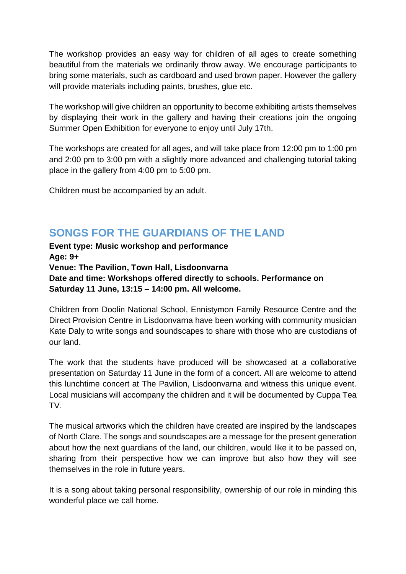The workshop provides an easy way for children of all ages to create something beautiful from the materials we ordinarily throw away. We encourage participants to bring some materials, such as cardboard and used brown paper. However the gallery will provide materials including paints, brushes, glue etc.

The workshop will give children an opportunity to become exhibiting artists themselves by displaying their work in the gallery and having their creations join the ongoing Summer Open Exhibition for everyone to enjoy until July 17th.

The workshops are created for all ages, and will take place from 12:00 pm to 1:00 pm and 2:00 pm to 3:00 pm with a slightly more advanced and challenging tutorial taking place in the gallery from 4:00 pm to 5:00 pm.

Children must be accompanied by an adult.

## **SONGS FOR THE GUARDIANS OF THE LAND**

**Event type: Music workshop and performance Age: 9+ Venue: The Pavilion, Town Hall, Lisdoonvarna Date and time: Workshops offered directly to schools. Performance on Saturday 11 June, 13:15 – 14:00 pm. All welcome.** 

Children from Doolin National School, Ennistymon Family Resource Centre and the Direct Provision Centre in Lisdoonvarna have been working with community musician Kate Daly to write songs and soundscapes to share with those who are custodians of our land.

The work that the students have produced will be showcased at a collaborative presentation on Saturday 11 June in the form of a concert. All are welcome to attend this lunchtime concert at The Pavilion, Lisdoonvarna and witness this unique event. Local musicians will accompany the children and it will be documented by Cuppa Tea TV.

The musical artworks which the children have created are inspired by the landscapes of North Clare. The songs and soundscapes are a message for the present generation about how the next guardians of the land, our children, would like it to be passed on, sharing from their perspective how we can improve but also how they will see themselves in the role in future years.

It is a song about taking personal responsibility, ownership of our role in minding this wonderful place we call home.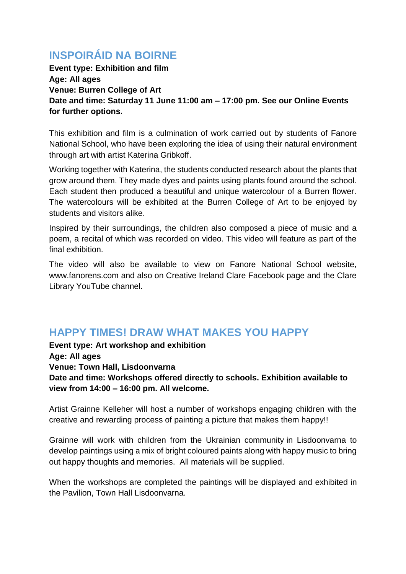# **INSPOIRÁID NA BOIRNE**

**Event type: Exhibition and film Age: All ages Venue: Burren College of Art Date and time: Saturday 11 June 11:00 am – 17:00 pm. See our Online Events for further options.** 

This exhibition and film is a culmination of work carried out by students of Fanore National School, who have been exploring the idea of using their natural environment through art with artist Katerina Gribkoff.

Working together with Katerina, the students conducted research about the plants that grow around them. They made dyes and paints using plants found around the school. Each student then produced a beautiful and unique watercolour of a Burren flower. The watercolours will be exhibited at the Burren College of Art to be enjoyed by students and visitors alike.

Inspired by their surroundings, the children also composed a piece of music and a poem, a recital of which was recorded on video. This video will feature as part of the final exhibition.

The video will also be available to view on Fanore National School website, www.fanorens.com and also on Creative Ireland Clare Facebook page and the Clare Library YouTube channel.

## **HAPPY TIMES! DRAW WHAT MAKES YOU HAPPY**

**Event type: Art workshop and exhibition Age: All ages Venue: Town Hall, Lisdoonvarna Date and time: Workshops offered directly to schools. Exhibition available to view from 14:00 – 16:00 pm. All welcome.** 

Artist Grainne Kelleher will host a number of workshops engaging children with the creative and rewarding process of painting a picture that makes them happy!!

Grainne will work with children from the Ukrainian community in Lisdoonvarna to develop paintings using a mix of bright coloured paints along with happy music to bring out happy thoughts and memories. All materials will be supplied.

When the workshops are completed the paintings will be displayed and exhibited in the Pavilion, Town Hall Lisdoonvarna.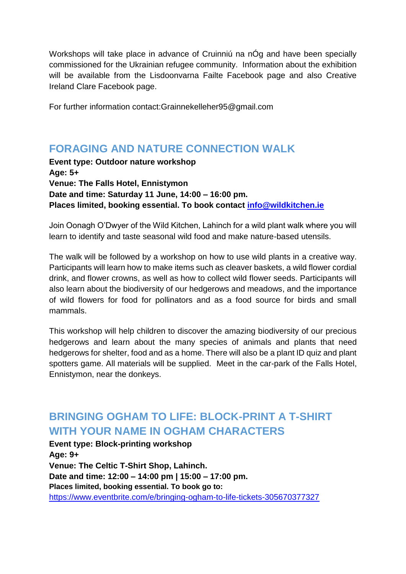Workshops will take place in advance of Cruinniú na nÓg and have been specially commissioned for the Ukrainian refugee community. Information about the exhibition will be available from the Lisdoonvarna Failte Facebook page and also Creative Ireland Clare Facebook page.

For further information contact:Grainnekelleher95@gmail.com

# **FORAGING AND NATURE CONNECTION WALK**

**Event type: Outdoor nature workshop Age: 5+ Venue: The Falls Hotel, Ennistymon Date and time: Saturday 11 June, 14:00 – 16:00 pm. Places limited, booking essential. To book contact [info@wildkitchen.ie](mailto:info@wildkitchen.ie)**

Join Oonagh O'Dwyer of the Wild Kitchen, Lahinch for a wild plant walk where you will learn to identify and taste seasonal wild food and make nature-based utensils.

The walk will be followed by a workshop on how to use wild plants in a creative way. Participants will learn how to make items such as cleaver baskets, a wild flower cordial drink, and flower crowns, as well as how to collect wild flower seeds. Participants will also learn about the biodiversity of our hedgerows and meadows, and the importance of wild flowers for food for pollinators and as a food source for birds and small mammals.

This workshop will help children to discover the amazing biodiversity of our precious hedgerows and learn about the many species of animals and plants that need hedgerows for shelter, food and as a home. There will also be a plant ID quiz and plant spotters game. All materials will be supplied. Meet in the car-park of the Falls Hotel, Ennistymon, near the donkeys.

# **BRINGING OGHAM TO LIFE: BLOCK-PRINT A T-SHIRT WITH YOUR NAME IN OGHAM CHARACTERS**

**Event type: Block-printing workshop Age: 9+ Venue: The Celtic T-Shirt Shop, Lahinch. Date and time: 12:00 – 14:00 pm | 15:00 – 17:00 pm. Places limited, booking essential. To book go to:**  <https://www.eventbrite.com/e/bringing-ogham-to-life-tickets-305670377327>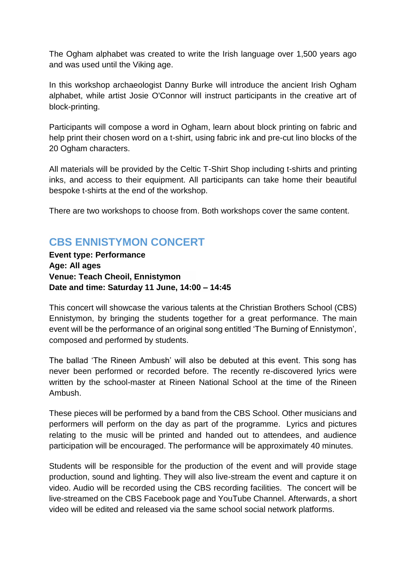The Ogham alphabet was created to write the Irish language over 1,500 years ago and was used until the Viking age.

In this workshop archaeologist Danny Burke will introduce the ancient Irish Ogham alphabet, while artist Josie O'Connor will instruct participants in the creative art of block-printing.

Participants will compose a word in Ogham, learn about block printing on fabric and help print their chosen word on a t-shirt, using fabric ink and pre-cut lino blocks of the 20 Ogham characters.

All materials will be provided by the Celtic T-Shirt Shop including t-shirts and printing inks, and access to their equipment. All participants can take home their beautiful bespoke t-shirts at the end of the workshop.

There are two workshops to choose from. Both workshops cover the same content.

# **CBS ENNISTYMON CONCERT**

**Event type: Performance Age: All ages Venue: Teach Cheoil, Ennistymon Date and time: Saturday 11 June, 14:00 – 14:45**

This concert will showcase the various talents at the Christian Brothers School (CBS) Ennistymon, by bringing the students together for a great performance. The main event will be the performance of an original song entitled 'The Burning of Ennistymon', composed and performed by students.

The ballad 'The Rineen Ambush' will also be debuted at this event. This song has never been performed or recorded before. The recently re-discovered lyrics were written by the school-master at Rineen National School at the time of the Rineen Ambush.

These pieces will be performed by a band from the CBS School. Other musicians and performers will perform on the day as part of the programme. Lyrics and pictures relating to the music will be printed and handed out to attendees, and audience participation will be encouraged. The performance will be approximately 40 minutes.

Students will be responsible for the production of the event and will provide stage production, sound and lighting. They will also live-stream the event and capture it on video. Audio will be recorded using the CBS recording facilities. The concert will be live-streamed on the CBS Facebook page and YouTube Channel. Afterwards, a short video will be edited and released via the same school social network platforms.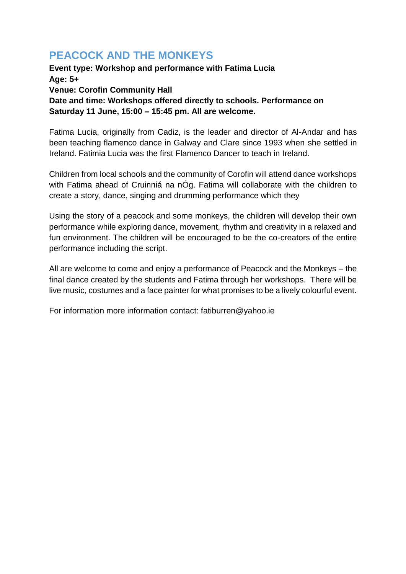# **PEACOCK AND THE MONKEYS**

**Event type: Workshop and performance with Fatima Lucia Age: 5+ Venue: Corofin Community Hall Date and time: Workshops offered directly to schools. Performance on Saturday 11 June, 15:00 – 15:45 pm. All are welcome.**

Fatima Lucia, originally from Cadiz, is the leader and director of Al-Andar and has been teaching flamenco dance in Galway and Clare since 1993 when she settled in Ireland. Fatimia Lucia was the first Flamenco Dancer to teach in Ireland.

Children from local schools and the community of Corofin will attend dance workshops with Fatima ahead of Cruinniá na nÓg. Fatima will collaborate with the children to create a story, dance, singing and drumming performance which they

Using the story of a peacock and some monkeys, the children will develop their own performance while exploring dance, movement, rhythm and creativity in a relaxed and fun environment. The children will be encouraged to be the co-creators of the entire performance including the script.

All are welcome to come and enjoy a performance of Peacock and the Monkeys – the final dance created by the students and Fatima through her workshops. There will be live music, costumes and a face painter for what promises to be a lively colourful event.

For information more information contact: fatiburren@yahoo.ie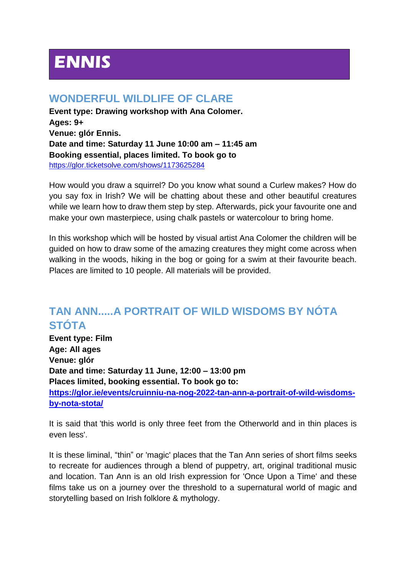# **ENNIS**

## **WONDERFUL WILDLIFE OF CLARE**

**Event type: Drawing workshop with Ana Colomer. Ages: 9+ Venue: glór Ennis. Date and time: Saturday 11 June 10:00 am – 11:45 am Booking essential, places limited. To book go to**  https://glor.ticketsolve.com/shows/1173625284

How would you draw a squirrel? Do you know what sound a Curlew makes? How do you say fox in Irish? We will be chatting about these and other beautiful creatures while we learn how to draw them step by step. Afterwards, pick your favourite one and make your own masterpiece, using chalk pastels or watercolour to bring home.

In this workshop which will be hosted by visual artist Ana Colomer the children will be guided on how to draw some of the amazing creatures they might come across when walking in the woods, hiking in the bog or going for a swim at their favourite beach. Places are limited to 10 people. All materials will be provided.

# **TAN ANN.....A PORTRAIT OF WILD WISDOMS BY NÓTA STÓTA**

**Event type: Film Age: All ages Venue: glór Date and time: Saturday 11 June, 12:00 – 13:00 pm Places limited, booking essential. To book go to: [https://glor.ie/events/cruinniu-na-nog-2022-tan-ann-a-portrait-of-wild-wisdoms](https://glor.ie/events/cruinniu-na-nog-2022-tan-ann-a-portrait-of-wild-wisdoms-by-nota-stota/)[by-nota-stota/](https://glor.ie/events/cruinniu-na-nog-2022-tan-ann-a-portrait-of-wild-wisdoms-by-nota-stota/)**

It is said that 'this world is only three feet from the Otherworld and in thin places is even less'.

It is these liminal, "thin" or 'magic' places that the Tan Ann series of short films seeks to recreate for audiences through a blend of puppetry, art, original traditional music and location. Tan Ann is an old Irish expression for 'Once Upon a Time' and these films take us on a journey over the threshold to a supernatural world of magic and storytelling based on Irish folklore & mythology.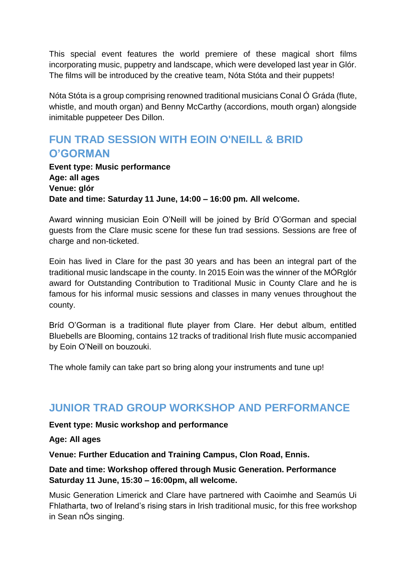This special event features the world premiere of these magical short films incorporating music, puppetry and landscape, which were developed last year in Glór. The films will be introduced by the creative team, Nóta Stóta and their puppets!

Nóta Stóta is a group comprising renowned traditional musicians Conal Ó Gráda (flute, whistle, and mouth organ) and Benny McCarthy (accordions, mouth organ) alongside inimitable puppeteer Des Dillon.

## **FUN TRAD SESSION WITH EOIN O'NEILL & BRID O'GORMAN**

**Event type: Music performance Age: all ages Venue: glór Date and time: Saturday 11 June, 14:00 – 16:00 pm. All welcome.** 

Award winning musician Eoin O'Neill will be joined by Bríd O'Gorman and special guests from the Clare music scene for these fun trad sessions. Sessions are free of charge and non-ticketed.

Eoin has lived in Clare for the past 30 years and has been an integral part of the traditional music landscape in the county. In 2015 Eoin was the winner of the MÓRglór award for Outstanding Contribution to Traditional Music in County Clare and he is famous for his informal music sessions and classes in many venues throughout the county.

Bríd O'Gorman is a traditional flute player from Clare. Her debut album, entitled Bluebells are Blooming, contains 12 tracks of traditional Irish flute music accompanied by Eoin O'Neill on bouzouki.

The whole family can take part so bring along your instruments and tune up!

#### **JUNIOR TRAD GROUP WORKSHOP AND PERFORMANCE**

**Event type: Music workshop and performance**

**Age: All ages**

**Venue: Further Education and Training Campus, Clon Road, Ennis.** 

#### **Date and time: Workshop offered through Music Generation. Performance Saturday 11 June, 15:30 – 16:00pm, all welcome.**

Music Generation Limerick and Clare have partnered with Caoimhe and Seamús Ui Fhlatharta, two of Ireland's rising stars in Irish traditional music, for this free workshop in Sean nÓs singing.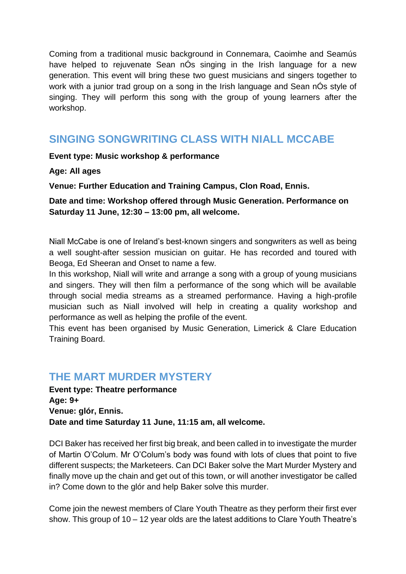Coming from a traditional music background in Connemara, Caoimhe and Seamús have helped to rejuvenate Sean nÓs singing in the Irish language for a new generation. This event will bring these two guest musicians and singers together to work with a junior trad group on a song in the Irish language and Sean nÓs style of singing. They will perform this song with the group of young learners after the workshop.

## **SINGING SONGWRITING CLASS WITH NIALL MCCABE**

**Event type: Music workshop & performance** 

**Age: All ages**

**Venue: Further Education and Training Campus, Clon Road, Ennis.**

**Date and time: Workshop offered through Music Generation. Performance on Saturday 11 June, 12:30 – 13:00 pm, all welcome.** 

Niall McCabe is one of Ireland's best-known singers and songwriters as well as being a well sought-after session musician on guitar. He has recorded and toured with Beoga, Ed Sheeran and Onset to name a few.

In this workshop, Niall will write and arrange a song with a group of young musicians and singers. They will then film a performance of the song which will be available through social media streams as a streamed performance. Having a high-profile musician such as Niall involved will help in creating a quality workshop and performance as well as helping the profile of the event.

This event has been organised by Music Generation, Limerick & Clare Education Training Board.

#### **THE MART MURDER MYSTERY**

**Event type: Theatre performance Age: 9+ Venue: glór, Ennis. Date and time Saturday 11 June, 11:15 am, all welcome.** 

DCI Baker has received her first big break, and been called in to investigate the murder of Martin O'Colum. Mr O'Colum's body was found with lots of clues that point to five different suspects; the Marketeers. Can DCI Baker solve the Mart Murder Mystery and finally move up the chain and get out of this town, or will another investigator be called in? Come down to the glór and help Baker solve this murder.

Come join the newest members of Clare Youth Theatre as they perform their first ever show. This group of 10 – 12 year olds are the latest additions to Clare Youth Theatre's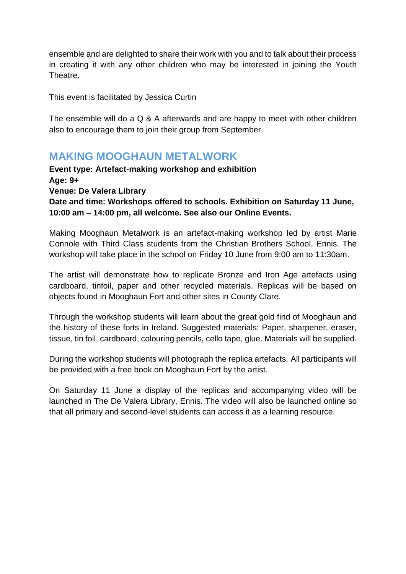ensemble and are delighted to share their work with you and to talk about their process in creating it with any other children who may be interested in joining the Youth Theatre.

This event is facilitated by Jessica Curtin

The ensemble will do a Q & A afterwards and are happy to meet with other children also to encourage them to join their group from September.

#### **MAKING MOOGHAUN METALWORK**

**Event type: Artefact-making workshop and exhibition Age: 9+ Venue: De Valera Library Date and time: Workshops offered to schools. Exhibition on Saturday 11 June, 10:00 am – 14:00 pm, all welcome. See also our Online Events.** 

Making Mooghaun Metalwork is an artefact-making workshop led by artist Marie Connole with Third Class students from the Christian Brothers School, Ennis. The workshop will take place in the school on Friday 10 June from 9:00 am to 11:30am.

The artist will demonstrate how to replicate Bronze and Iron Age artefacts using cardboard, tinfoil, paper and other recycled materials. Replicas will be based on objects found in Mooghaun Fort and other sites in County Clare.

Through the workshop students will learn about the great gold find of Mooghaun and the history of these forts in Ireland. Suggested materials: Paper, sharpener, eraser, tissue, tin foil, cardboard, colouring pencils, cello tape, glue. Materials will be supplied.

During the workshop students will photograph the replica artefacts. All participants will be provided with a free book on Mooghaun Fort by the artist.

On Saturday 11 June a display of the replicas and accompanying video will be launched in The De Valera Library, Ennis. The video will also be launched online so that all primary and second-level students can access it as a learning resource.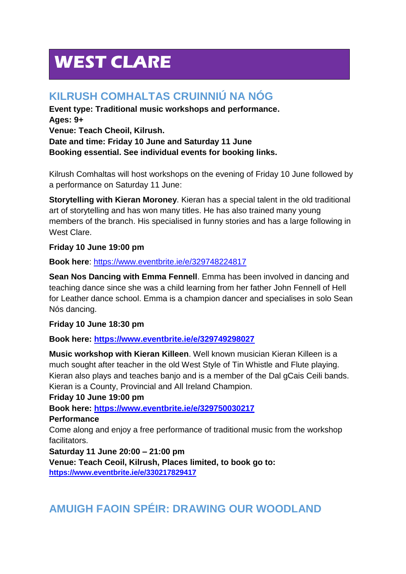# **WEST CLARE**

# **KILRUSH COMHALTAS CRUINNIÚ NA NÓG**

**Event type: Traditional music workshops and performance. Ages: 9+ Venue: Teach Cheoil, Kilrush. Date and time: Friday 10 June and Saturday 11 June Booking essential. See individual events for booking links.** 

Kilrush Comhaltas will host workshops on the evening of Friday 10 June followed by a performance on Saturday 11 June:

**Storytelling with Kieran Moroney**. Kieran has a special talent in the old traditional art of storytelling and has won many titles. He has also trained many young members of the branch. His specialised in funny stories and has a large following in West Clare.

#### **Friday 10 June 19:00 pm**

**Book here**:<https://www.eventbrite.ie/e/329748224817>

**Sean Nos Dancing with Emma Fennell**. Emma has been involved in dancing and teaching dance since she was a child learning from her father John Fennell of Hell for Leather dance school. Emma is a champion dancer and specialises in solo Sean Nós dancing.

#### **Friday 10 June 18:30 pm**

**Book here:<https://www.eventbrite.ie/e/329749298027>**

**Music workshop with Kieran Killeen**. Well known musician Kieran Killeen is a much sought after teacher in the old West Style of Tin Whistle and Flute playing. Kieran also plays and teaches banjo and is a member of the Dal gCais Ceili bands. Kieran is a County, Provincial and All Ireland Champion.

#### **Friday 10 June 19:00 pm**

**Book here:<https://www.eventbrite.ie/e/329750030217>**

**Performance**

Come along and enjoy a free performance of traditional music from the workshop facilitators.

**Saturday 11 June 20:00 – 21:00 pm** 

**Venue: Teach Ceoil, Kilrush, Places limited, to book go to: <https://www.eventbrite.ie/e/330217829417>**

# **AMUIGH FAOIN SPÉIR: DRAWING OUR WOODLAND**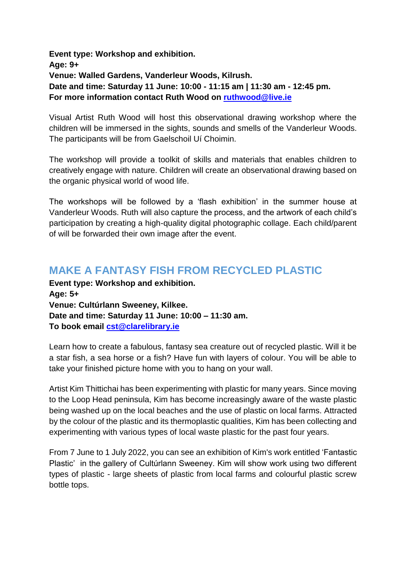**Event type: Workshop and exhibition. Age: 9+ Venue: Walled Gardens, Vanderleur Woods, Kilrush. Date and time: Saturday 11 June: 10:00 - 11:15 am | 11:30 am - 12:45 pm. For more information contact Ruth Wood on [ruthwood@live.ie](mailto:ruthwood@live.ie)**

Visual Artist Ruth Wood will host this observational drawing workshop where the children will be immersed in the sights, sounds and smells of the Vanderleur Woods. The participants will be from Gaelschoil Uí Choimin.

The workshop will provide a toolkit of skills and materials that enables children to creatively engage with nature. Children will create an observational drawing based on the organic physical world of wood life.

The workshops will be followed by a 'flash exhibition' in the summer house at Vanderleur Woods. Ruth will also capture the process, and the artwork of each child's participation by creating a high-quality digital photographic collage. Each child/parent of will be forwarded their own image after the event.

## **MAKE A FANTASY FISH FROM RECYCLED PLASTIC**

**Event type: Workshop and exhibition. Age: 5+ Venue: Cultúrlann Sweeney, Kilkee. Date and time: Saturday 11 June: 10:00 – 11:30 am. To book email [cst@clarelibrary.ie](mailto:cst@clarelibrary.ie)**

Learn how to create a fabulous, fantasy sea creature out of recycled plastic. Will it be a star fish, a sea horse or a fish? Have fun with layers of colour. You will be able to take your finished picture home with you to hang on your wall.

Artist Kim Thittichai has been experimenting with plastic for many years. Since moving to the Loop Head peninsula, Kim has become increasingly aware of the waste plastic being washed up on the local beaches and the use of plastic on local farms. Attracted by the colour of the plastic and its thermoplastic qualities, Kim has been collecting and experimenting with various types of local waste plastic for the past four years.

From 7 June to 1 July 2022, you can see an exhibition of Kim's work entitled 'Fantastic Plastic' in the gallery of Cultúrlann Sweeney. Kim will show work using two different types of plastic - large sheets of plastic from local farms and colourful plastic screw bottle tops.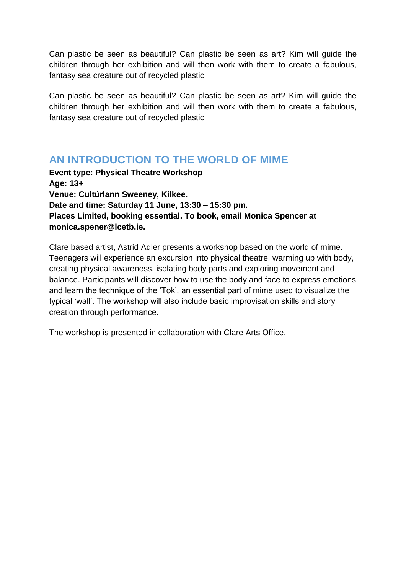Can plastic be seen as beautiful? Can plastic be seen as art? Kim will guide the children through her exhibition and will then work with them to create a fabulous, fantasy sea creature out of recycled plastic

Can plastic be seen as beautiful? Can plastic be seen as art? Kim will guide the children through her exhibition and will then work with them to create a fabulous, fantasy sea creature out of recycled plastic

#### **AN INTRODUCTION TO THE WORLD OF MIME**

**Event type: Physical Theatre Workshop Age: 13+ Venue: Cultúrlann Sweeney, Kilkee. Date and time: Saturday 11 June, 13:30 – 15:30 pm. Places Limited, booking essential. To book, email Monica Spencer at monica.spener@lcetb.ie.**

Clare based artist, Astrid Adler presents a workshop based on the world of mime. Teenagers will experience an excursion into physical theatre, warming up with body, creating physical awareness, isolating body parts and exploring movement and balance. Participants will discover how to use the body and face to express emotions and learn the technique of the 'Tok', an essential part of mime used to visualize the typical 'wall'. The workshop will also include basic improvisation skills and story creation through performance.

The workshop is presented in collaboration with Clare Arts Office.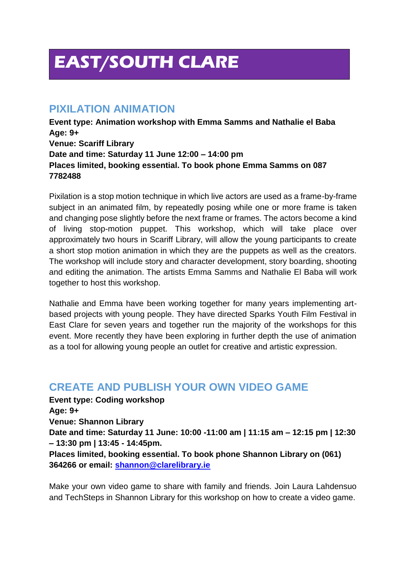# **EAST/SOUTH CLARE**

#### **PIXILATION ANIMATION**

**Event type: Animation workshop with Emma Samms and Nathalie el Baba Age: 9+ Venue: Scariff Library Date and time: Saturday 11 June 12:00 – 14:00 pm Places limited, booking essential. To book phone Emma Samms on 087 7782488**

Pixilation is a stop motion technique in which live actors are used as a frame-by-frame subject in an animated film, by repeatedly posing while one or more frame is taken and changing pose slightly before the next frame or frames. The actors become a kind of living stop-motion puppet. This workshop, which will take place over approximately two hours in Scariff Library, will allow the young participants to create a short stop motion animation in which they are the puppets as well as the creators. The workshop will include story and character development, story boarding, shooting and editing the animation. The artists Emma Samms and Nathalie El Baba will work together to host this workshop.

Nathalie and Emma have been working together for many years implementing artbased projects with young people. They have directed Sparks Youth Film Festival in East Clare for seven years and together run the majority of the workshops for this event. More recently they have been exploring in further depth the use of animation as a tool for allowing young people an outlet for creative and artistic expression.

## **CREATE AND PUBLISH YOUR OWN VIDEO GAME**

**Event type: Coding workshop Age: 9+ Venue: Shannon Library Date and time: Saturday 11 June: 10:00 -11:00 am | 11:15 am – 12:15 pm | 12:30 – 13:30 pm | 13:45 - 14:45pm. Places limited, booking essential. To book phone Shannon Library on (061) 364266 or email: [shannon@clarelibrary.ie](mailto:shannon@clarelibrary.ie)**

Make your own video game to share with family and friends. Join Laura Lahdensuo and TechSteps in Shannon Library for this workshop on how to create a video game.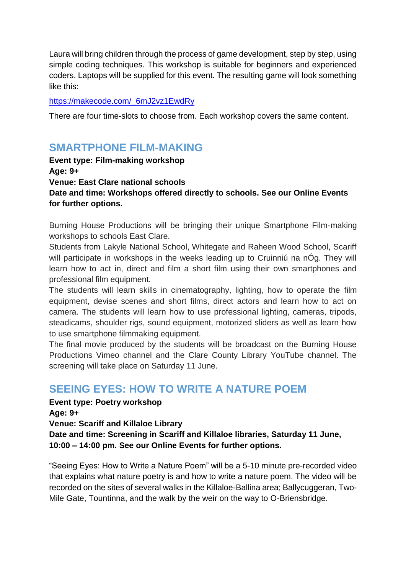Laura will bring children through the process of game development, step by step, using simple coding techniques. This workshop is suitable for beginners and experienced coders. Laptops will be supplied for this event. The resulting game will look something like this:

#### [https://makecode.com/\\_6mJ2vz1EwdRy](https://makecode.com/_6mJ2vz1EwdRy)

There are four time-slots to choose from. Each workshop covers the same content.

## **SMARTPHONE FILM-MAKING**

**Event type: Film-making workshop Age: 9+ Venue: East Clare national schools Date and time: Workshops offered directly to schools. See our Online Events for further options.** 

Burning House Productions will be bringing their unique Smartphone Film-making workshops to schools East Clare.

Students from Lakyle National School, Whitegate and Raheen Wood School, Scariff will participate in workshops in the weeks leading up to Cruinniu na nÓg. They will learn how to act in, direct and film a short film using their own smartphones and professional film equipment.

The students will learn skills in cinematography, lighting, how to operate the film equipment, devise scenes and short films, direct actors and learn how to act on camera. The students will learn how to use professional lighting, cameras, tripods, steadicams, shoulder rigs, sound equipment, motorized sliders as well as learn how to use smartphone filmmaking equipment.

The final movie produced by the students will be broadcast on the Burning House Productions Vimeo channel and the Clare County Library YouTube channel. The screening will take place on Saturday 11 June.

#### **SEEING EYES: HOW TO WRITE A NATURE POEM**

**Event type: Poetry workshop Age: 9+ Venue: Scariff and Killaloe Library Date and time: Screening in Scariff and Killaloe libraries, Saturday 11 June, 10:00 – 14:00 pm. See our Online Events for further options.** 

"Seeing Eyes: How to Write a Nature Poem" will be a 5-10 minute pre-recorded video that explains what nature poetry is and how to write a nature poem. The video will be recorded on the sites of several walks in the Killaloe-Ballina area; Ballycuggeran, Two-Mile Gate, Tountinna, and the walk by the weir on the way to O-Briensbridge.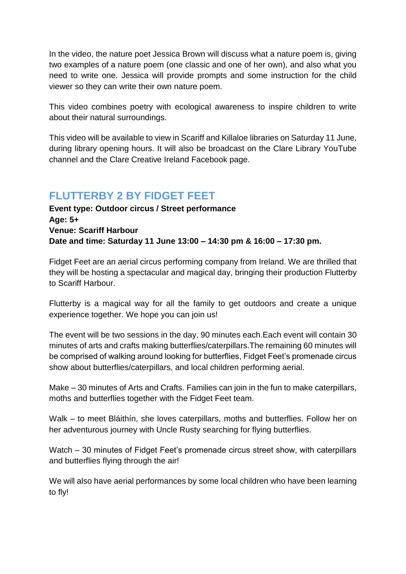In the video, the nature poet Jessica Brown will discuss what a nature poem is, giving two examples of a nature poem (one classic and one of her own), and also what you need to write one. Jessica will provide prompts and some instruction for the child viewer so they can write their own nature poem.

This video combines poetry with ecological awareness to inspire children to write about their natural surroundings.

This video will be available to view in Scariff and Killaloe libraries on Saturday 11 June, during library opening hours. It will also be broadcast on the Clare Library YouTube channel and the Clare Creative Ireland Facebook page.

## **FLUTTERBY 2 BY FIDGET FEET**

**Event type: Outdoor circus / Street performance Age: 5+ Venue: Scariff Harbour Date and time: Saturday 11 June 13:00 – 14:30 pm & 16:00 – 17:30 pm.** 

Fidget Feet are an aerial circus performing company from Ireland. We are thrilled that they will be hosting a spectacular and magical day, bringing their production Flutterby to Scariff Harbour.

Flutterby is a magical way for all the family to get outdoors and create a unique experience together. We hope you can join us!

The event will be two sessions in the day, 90 minutes each.Each event will contain 30 minutes of arts and crafts making butterflies/caterpillars.The remaining 60 minutes will be comprised of walking around looking for butterflies, Fidget Feet's promenade circus show about butterflies/caterpillars, and local children performing aerial.

Make – 30 minutes of Arts and Crafts. Families can join in the fun to make caterpillars, moths and butterflies together with the Fidget Feet team.

Walk – to meet Bláithín, she loves caterpillars, moths and butterflies. Follow her on her adventurous journey with Uncle Rusty searching for flying butterflies.

Watch – 30 minutes of Fidget Feet's promenade circus street show, with caterpillars and butterflies flying through the air!

We will also have aerial performances by some local children who have been learning to fly!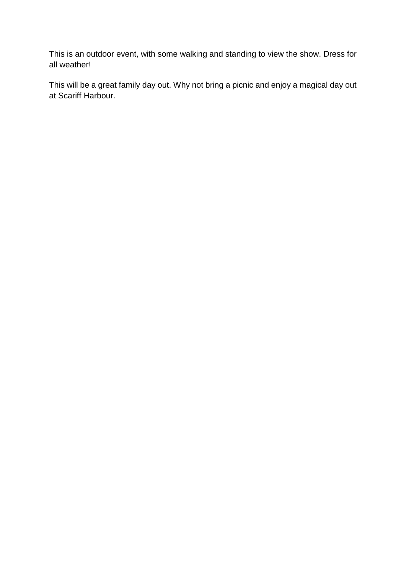This is an outdoor event, with some walking and standing to view the show. Dress for all weather!

This will be a great family day out. Why not bring a picnic and enjoy a magical day out at Scariff Harbour.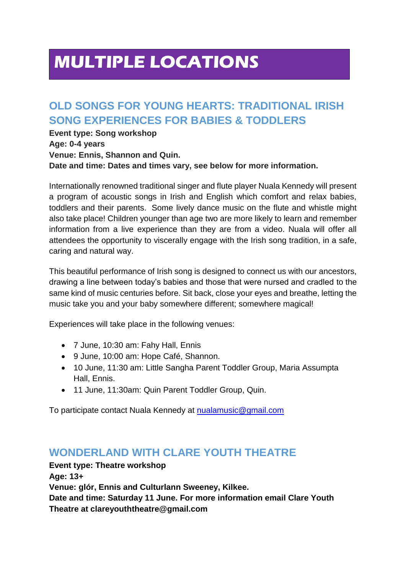# **MULTIPLE LOCATIONS**

# **OLD SONGS FOR YOUNG HEARTS: TRADITIONAL IRISH SONG EXPERIENCES FOR BABIES & TODDLERS**

**Event type: Song workshop Age: 0-4 years Venue: Ennis, Shannon and Quin. Date and time: Dates and times vary, see below for more information.** 

Internationally renowned traditional singer and flute player Nuala Kennedy will present a program of acoustic songs in Irish and English which comfort and relax babies, toddlers and their parents. Some lively dance music on the flute and whistle might also take place! Children younger than age two are more likely to learn and remember information from a live experience than they are from a video. Nuala will offer all attendees the opportunity to viscerally engage with the Irish song tradition, in a safe, caring and natural way.

This beautiful performance of Irish song is designed to connect us with our ancestors, drawing a line between today's babies and those that were nursed and cradled to the same kind of music centuries before. Sit back, close your eyes and breathe, letting the music take you and your baby somewhere different; somewhere magical!

Experiences will take place in the following venues:

- 7 June, 10:30 am: Fahy Hall, Ennis
- 9 June, 10:00 am: Hope Café, Shannon.
- 10 June, 11:30 am: Little Sangha Parent Toddler Group, Maria Assumpta Hall, Ennis.
- 11 June, 11:30am: Quin Parent Toddler Group, Quin.

To participate contact Nuala Kennedy at [nualamusic@gmail.com](mailto:nualamusic@gmail.com)

## **WONDERLAND WITH CLARE YOUTH THEATRE**

**Event type: Theatre workshop**

**Age: 13+**

**Venue: glór, Ennis and Culturlann Sweeney, Kilkee.** 

**Date and time: Saturday 11 June. For more information email Clare Youth Theatre at clareyouththeatre@gmail.com**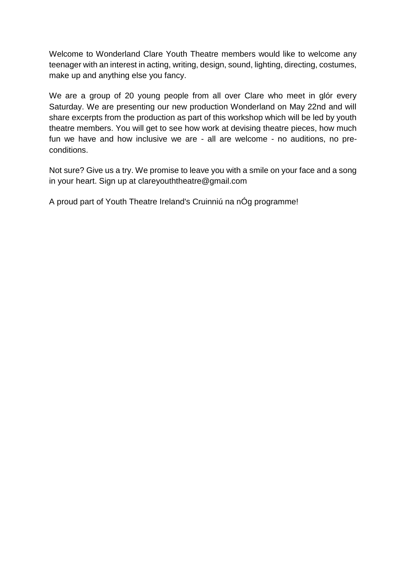Welcome to Wonderland Clare Youth Theatre members would like to welcome any teenager with an interest in acting, writing, design, sound, lighting, directing, costumes, make up and anything else you fancy.

We are a group of 20 young people from all over Clare who meet in glór every Saturday. We are presenting our new production Wonderland on May 22nd and will share excerpts from the production as part of this workshop which will be led by youth theatre members. You will get to see how work at devising theatre pieces, how much fun we have and how inclusive we are - all are welcome - no auditions, no preconditions.

Not sure? Give us a try. We promise to leave you with a smile on your face and a song in your heart. Sign up at clareyouththeatre@gmail.com

A proud part of Youth Theatre Ireland's Cruinniú na nÓg programme!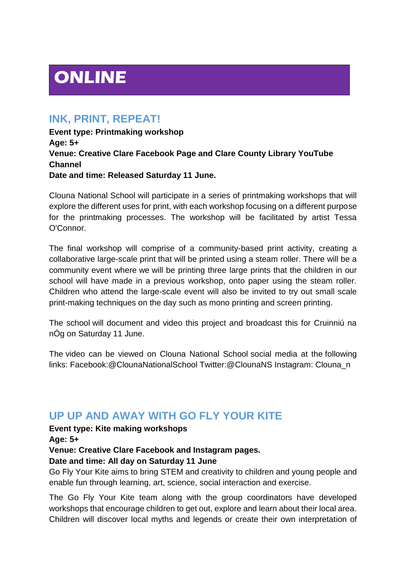# **ONLINE**

#### **INK, PRINT, REPEAT!**

**Event type: Printmaking workshop Age: 5+ Venue: Creative Clare Facebook Page and Clare County Library YouTube Channel Date and time: Released Saturday 11 June.** 

Clouna National School will participate in a series of printmaking workshops that will explore the different uses for print, with each workshop focusing on a different purpose for the printmaking processes. The workshop will be facilitated by artist Tessa O'Connor.

The final workshop will comprise of a community-based print activity, creating a collaborative large-scale print that will be printed using a steam roller. There will be a community event where we will be printing three large prints that the children in our school will have made in a previous workshop, onto paper using the steam roller. Children who attend the large-scale event will also be invited to try out small scale print-making techniques on the day such as mono printing and screen printing.

The school will document and video this project and broadcast this for Cruinniú na nÓg on Saturday 11 June.

The video can be viewed on Clouna National School social media at the following links: Facebook:@ClounaNationalSchool Twitter:@ClounaNS Instagram: Clouna\_n

#### **UP UP AND AWAY WITH GO FLY YOUR KITE**

**Event type: Kite making workshops**

**Age: 5+**

**Venue: Creative Clare Facebook and Instagram pages.** 

#### **Date and time: All day on Saturday 11 June**

Go Fly Your Kite aims to bring STEM and creativity to children and young people and enable fun through learning, art, science, social interaction and exercise.

The Go Fly Your Kite team along with the group coordinators have developed workshops that encourage children to get out, explore and learn about their local area. Children will discover local myths and legends or create their own interpretation of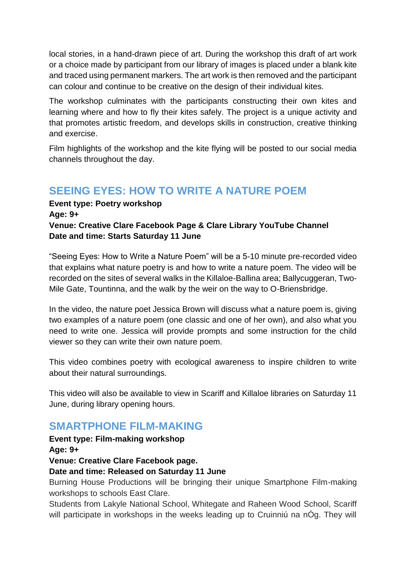local stories, in a hand-drawn piece of art. During the workshop this draft of art work or a choice made by participant from our library of images is placed under a blank kite and traced using permanent markers. The art work is then removed and the participant can colour and continue to be creative on the design of their individual kites.

The workshop culminates with the participants constructing their own kites and learning where and how to fly their kites safely. The project is a unique activity and that promotes artistic freedom, and develops skills in construction, creative thinking and exercise.

Film highlights of the workshop and the kite flying will be posted to our social media channels throughout the day.

## **SEEING EYES: HOW TO WRITE A NATURE POEM**

#### **Event type: Poetry workshop Age: 9+ Venue: Creative Clare Facebook Page & Clare Library YouTube Channel Date and time: Starts Saturday 11 June**

"Seeing Eyes: How to Write a Nature Poem" will be a 5-10 minute pre-recorded video that explains what nature poetry is and how to write a nature poem. The video will be recorded on the sites of several walks in the Killaloe-Ballina area; Ballycuggeran, Two-Mile Gate, Tountinna, and the walk by the weir on the way to O-Briensbridge.

In the video, the nature poet Jessica Brown will discuss what a nature poem is, giving two examples of a nature poem (one classic and one of her own), and also what you need to write one. Jessica will provide prompts and some instruction for the child viewer so they can write their own nature poem.

This video combines poetry with ecological awareness to inspire children to write about their natural surroundings.

This video will also be available to view in Scariff and Killaloe libraries on Saturday 11 June, during library opening hours.

#### **SMARTPHONE FILM-MAKING**

**Event type: Film-making workshop**

**Age: 9+**

**Venue: Creative Clare Facebook page.** 

#### **Date and time: Released on Saturday 11 June**

Burning House Productions will be bringing their unique Smartphone Film-making workshops to schools East Clare.

Students from Lakyle National School, Whitegate and Raheen Wood School, Scariff will participate in workshops in the weeks leading up to Cruinniu na nÓg. They will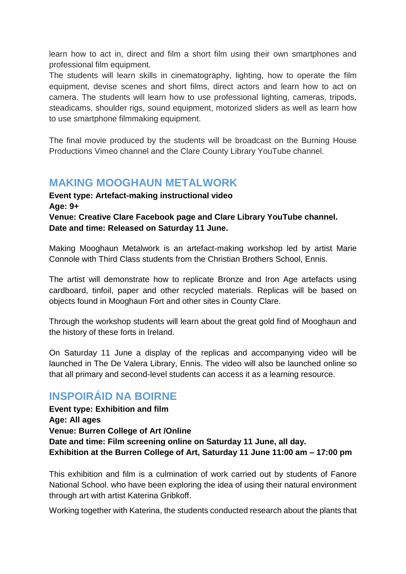learn how to act in, direct and film a short film using their own smartphones and professional film equipment.

The students will learn skills in cinematography, lighting, how to operate the film equipment, devise scenes and short films, direct actors and learn how to act on camera. The students will learn how to use professional lighting, cameras, tripods, steadicams, shoulder rigs, sound equipment, motorized sliders as well as learn how to use smartphone filmmaking equipment.

The final movie produced by the students will be broadcast on the Burning House Productions Vimeo channel and the Clare County Library YouTube channel.

## **MAKING MOOGHAUN METALWORK**

**Event type: Artefact-making instructional video Age: 9+ Venue: Creative Clare Facebook page and Clare Library YouTube channel. Date and time: Released on Saturday 11 June.** 

Making Mooghaun Metalwork is an artefact-making workshop led by artist Marie Connole with Third Class students from the Christian Brothers School, Ennis.

The artist will demonstrate how to replicate Bronze and Iron Age artefacts using cardboard, tinfoil, paper and other recycled materials. Replicas will be based on objects found in Mooghaun Fort and other sites in County Clare.

Through the workshop students will learn about the great gold find of Mooghaun and the history of these forts in Ireland.

On Saturday 11 June a display of the replicas and accompanying video will be launched in The De Valera Library, Ennis. The video will also be launched online so that all primary and second-level students can access it as a learning resource.

## **INSPOIRÁID NA BOIRNE**

**Event type: Exhibition and film Age: All ages Venue: Burren College of Art /Online Date and time: Film screening online on Saturday 11 June, all day. Exhibition at the Burren College of Art, Saturday 11 June 11:00 am – 17:00 pm**

This exhibition and film is a culmination of work carried out by students of Fanore National School. who have been exploring the idea of using their natural environment through art with artist Katerina Gribkoff.

Working together with Katerina, the students conducted research about the plants that